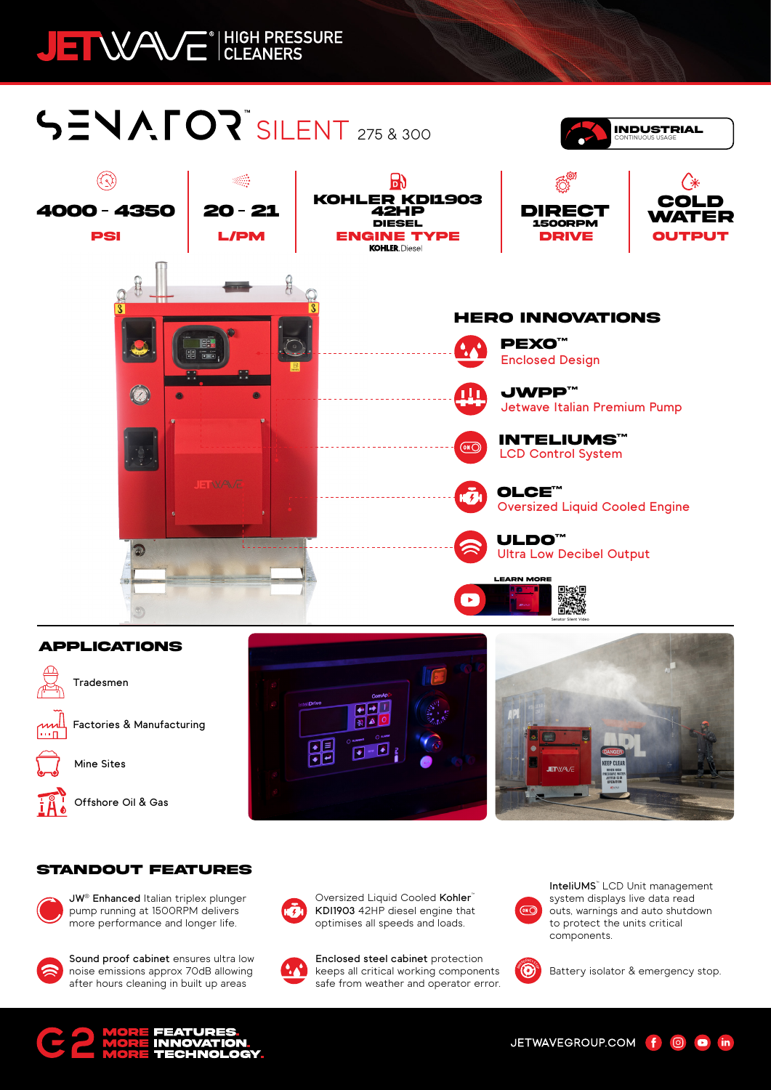## JEI WAVE<sup>® HIGH PRESSURE</sup>

# **SENAFOR SILENT 275 & 300**



#### **APPLICATIONS**



**Tradesmen**



**Mine Sites**

**Offshore Oil & Gas**





CONTINUOUS USAGE **INDUSTRIAL**

#### **STANDOUT FEATURES**



**JW® Enhanced** Italian triplex plunger pump running at 1500RPM delivers more performance and longer life.



**Sound proof cabinet** ensures ultra low noise emissions approx 70dB allowing after hours cleaning in built up areas



Oversized Liquid Cooled Kohler<sup>™</sup> **KDI1903** 42HP diesel engine that optimises all speeds and loads.

**Enclosed steel cabinet** protection keeps all critical working components safe from weather and operator error.



**InteliUMS™** LCD Unit management system displays live data read outs, warnings and auto shutdown to protect the units critical components.



Battery isolator & emergency stop.